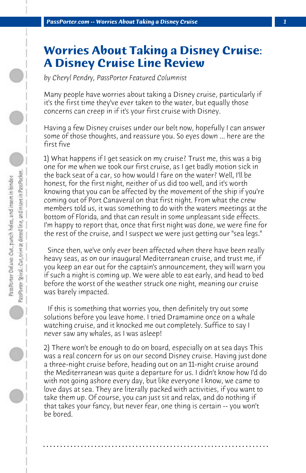## **Worries About Taking a Disney Cruise: A Disney Cruise Line Review**

*by Cheryl Pendry, PassPorter Featured Columnist*

Many people have worries about taking a Disney cruise, particularly if it's the first time they've ever taken to the water, but equally those concerns can creep in if it's your first cruise with Disney.

Having a few Disney cruises under our belt now, hopefully I can answer some of those thoughts, and reassure you. So eyes down ... here are the first five

1) What happens if I get seasick on my cruise? Trust me, this was a big one for me when we took our first cruise, as I get badly motion sick in the back seat of a car, so how would I fare on the water? Well, I'll be honest, for the first night, neither of us did too well, and it's worth knowing that you can be affected by the movement of the ship if you're coming out of Port Canaveral on that first night. From what the crew members told us, it was something to do with the waters meetings at the bottom of Florida, and that can result in some unpleasant side effects. I'm happy to report that, once that first night was done, we were fine for the rest of the cruise, and I suspect we were just getting our "sea legs."

 Since then, we've only ever been affected when there have been really heavy seas, as on our inaugural Mediterranean cruise, and trust me, if you keep an ear out for the captain's announcement, they will warn you if such a night is coming up. We were able to eat early, and head to bed before the worst of the weather struck one night, meaning our cruise was barely impacted.

 If this is something that worries you, then definitely try out some solutions before you leave home. I tried Dramamine once on a whale watching cruise, and it knocked me out completely. Suffice to say I never saw any whales, as I was asleep!

2) There won't be enough to do on board, especially on at sea days This was a real concern for us on our second Disney cruise. Having just done a three-night cruise before, heading out on an 11-night cruise around the Mediterranean was quite a departure for us. I didn't know how I'd do with not going ashore every day, but like everyone I know, we came to love days at sea. They are literally packed with activities, if you want to take them up. Of course, you can just sit and relax, and do nothing if that takes your fancy, but never fear, one thing is certain -- you won't be bored.

**. . . . . . . . . . . . . . . . . . . . . . . . . . . . . . . . . . . . . . . . . . . . . . . . . . . . . . . . . . . . . . . . . .**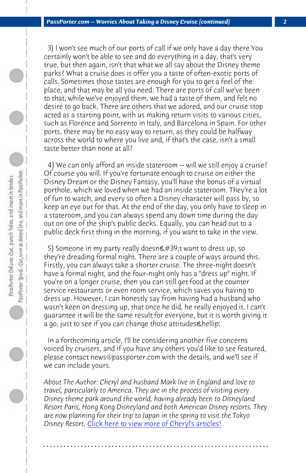*PassPorter.com -- Worries About Taking a Disney Cruise (continued) 2*

 3) I won't see much of our ports of call if we only have a day there You certainly won't be able to see and do everything in a day, that's very true, but then again, isn't that what we all say about the Disney theme parks? What a cruise does is offer you a taste of often-exotic ports of calls. Sometimes those tastes are enough for you to get a feel of the place, and that may be all you need. There are ports of call we've been to that, while we've enjoyed them, we had a taste of them, and felt no desire to go back. There are others that we adored, and our cruise stop acted as a starting point, with us making return visits to various cities, such as Florence and Sorrento in Italy, and Barcelona in Spain. For other ports, there may be no easy way to return, as they could be halfway across the world to where you live and, if that's the case, isn't a small taste better than none at all?

 4) We can only afford an inside stateroom -- will we still enjoy a cruise? Of course you will. If you're fortunate enough to cruise on either the Disney Dream or the Disney Fantasy, you'll have the bonus of a virtual porthole, which we loved when we had an inside stateroom. They're a lot of fun to watch, and every so often a Disney character will pass by, so keep an eye out for that. At the end of the day, you only have to sleep in a stateroom, and you can always spend any down time during the day out on one of the ship's public decks. Equally, you can head out to a public deck first thing in the morning, if you want to take in the view.

5) Someone in my party really doesn't want to dress up, so they're dreading formal night. There are a couple of ways around this. Firstly, you can always take a shorter cruise. The three-night doesn't have a formal night, and the four-night only has a "dress up" night. If you're on a lo[nger cruise, then you can still get food at the](http://www.passporter.com/articles/cheryl-pendry-featured-columnist.asp) counter service restaurants or even room service, which saves you having to dress up. However, I can honestly say from having had a husband who wasn't keen on dressing up, that once he did, he really enjoyed it. I can't guarantee it will be the same result for everyone, but it is worth giving it a go, just to see if you can change those attitudes & hellip;

 In a forthcoming article, I'll be considering another five concerns voiced by cruisers, and if you have any others you'd like to see featured, please contact news@passporter.com with the details, and we'll see if we can include yours.

*About The Author: Cheryl and husband Mark live in England and love to travel, particularly to America. They are in the process of visiting every Disney theme park around the world, having already been to Disneyland Resort Paris, Hong Kong Disneyland and both American Disney resorts. They are now planning for their trip to Japan in the spring to visit the Tokyo Disney Resort.* Click here to view more of Cheryl's articles!

**. . . . . . . . . . . . . . . . . . . . . . . . . . . . . . . . . . . . . . . . . . . . . . . . . . . . . . . . . . . . . . . . . .**